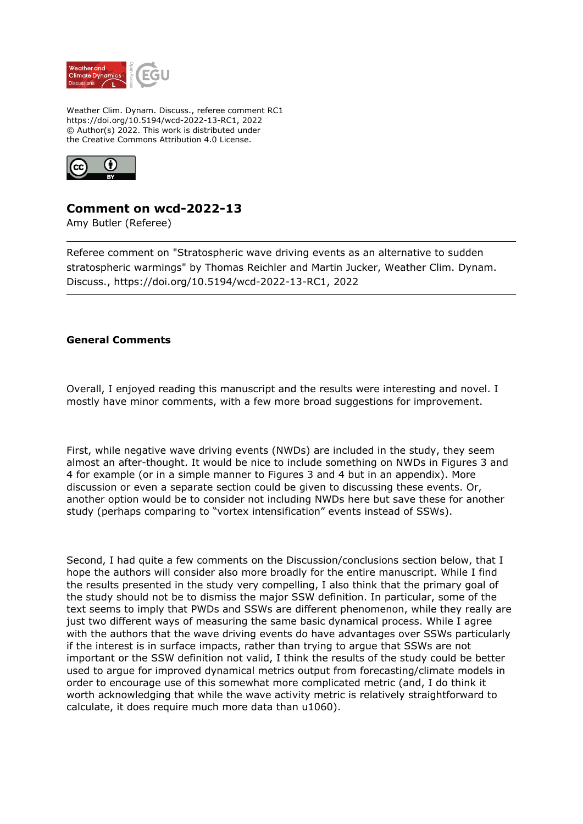

Weather Clim. Dynam. Discuss., referee comment RC1 https://doi.org/10.5194/wcd-2022-13-RC1, 2022 © Author(s) 2022. This work is distributed under the Creative Commons Attribution 4.0 License.



## **Comment on wcd-2022-13**

Amy Butler (Referee)

Referee comment on "Stratospheric wave driving events as an alternative to sudden stratospheric warmings" by Thomas Reichler and Martin Jucker, Weather Clim. Dynam. Discuss., https://doi.org/10.5194/wcd-2022-13-RC1, 2022

## **General Comments**

Overall, I enjoyed reading this manuscript and the results were interesting and novel. I mostly have minor comments, with a few more broad suggestions for improvement.

First, while negative wave driving events (NWDs) are included in the study, they seem almost an after-thought. It would be nice to include something on NWDs in Figures 3 and 4 for example (or in a simple manner to Figures 3 and 4 but in an appendix). More discussion or even a separate section could be given to discussing these events. Or, another option would be to consider not including NWDs here but save these for another study (perhaps comparing to "vortex intensification" events instead of SSWs).

Second, I had quite a few comments on the Discussion/conclusions section below, that I hope the authors will consider also more broadly for the entire manuscript. While I find the results presented in the study very compelling, I also think that the primary goal of the study should not be to dismiss the major SSW definition. In particular, some of the text seems to imply that PWDs and SSWs are different phenomenon, while they really are just two different ways of measuring the same basic dynamical process. While I agree with the authors that the wave driving events do have advantages over SSWs particularly if the interest is in surface impacts, rather than trying to argue that SSWs are not important or the SSW definition not valid, I think the results of the study could be better used to argue for improved dynamical metrics output from forecasting/climate models in order to encourage use of this somewhat more complicated metric (and, I do think it worth acknowledging that while the wave activity metric is relatively straightforward to calculate, it does require much more data than u1060).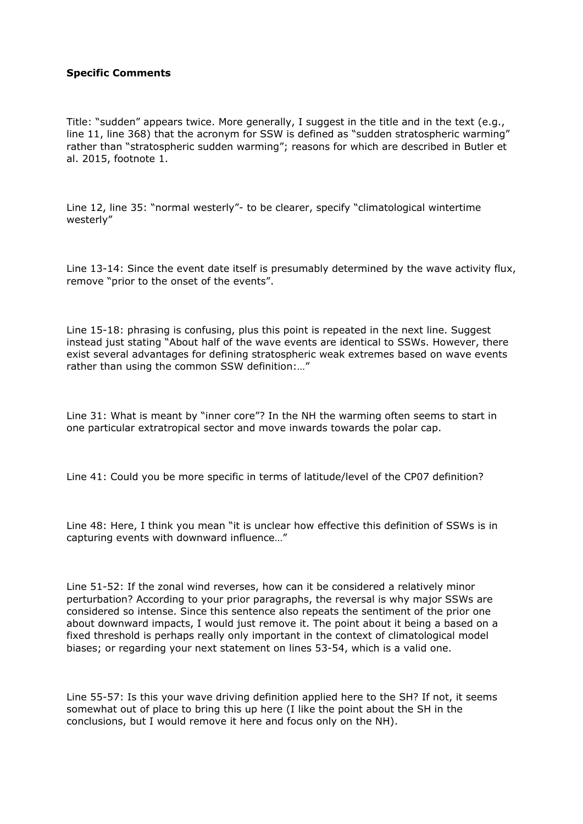## **Specific Comments**

Title: "sudden" appears twice. More generally, I suggest in the title and in the text (e.g., line 11, line 368) that the acronym for SSW is defined as "sudden stratospheric warming" rather than "stratospheric sudden warming"; reasons for which are described in Butler et al. 2015, footnote 1.

Line 12, line 35: "normal westerly"- to be clearer, specify "climatological wintertime westerly"

Line 13-14: Since the event date itself is presumably determined by the wave activity flux, remove "prior to the onset of the events".

Line 15-18: phrasing is confusing, plus this point is repeated in the next line. Suggest instead just stating "About half of the wave events are identical to SSWs. However, there exist several advantages for defining stratospheric weak extremes based on wave events rather than using the common SSW definition:…"

Line 31: What is meant by "inner core"? In the NH the warming often seems to start in one particular extratropical sector and move inwards towards the polar cap.

Line 41: Could you be more specific in terms of latitude/level of the CP07 definition?

Line 48: Here, I think you mean "it is unclear how effective this definition of SSWs is in capturing events with downward influence…"

Line 51-52: If the zonal wind reverses, how can it be considered a relatively minor perturbation? According to your prior paragraphs, the reversal is why major SSWs are considered so intense. Since this sentence also repeats the sentiment of the prior one about downward impacts, I would just remove it. The point about it being a based on a fixed threshold is perhaps really only important in the context of climatological model biases; or regarding your next statement on lines 53-54, which is a valid one.

Line 55-57: Is this your wave driving definition applied here to the SH? If not, it seems somewhat out of place to bring this up here (I like the point about the SH in the conclusions, but I would remove it here and focus only on the NH).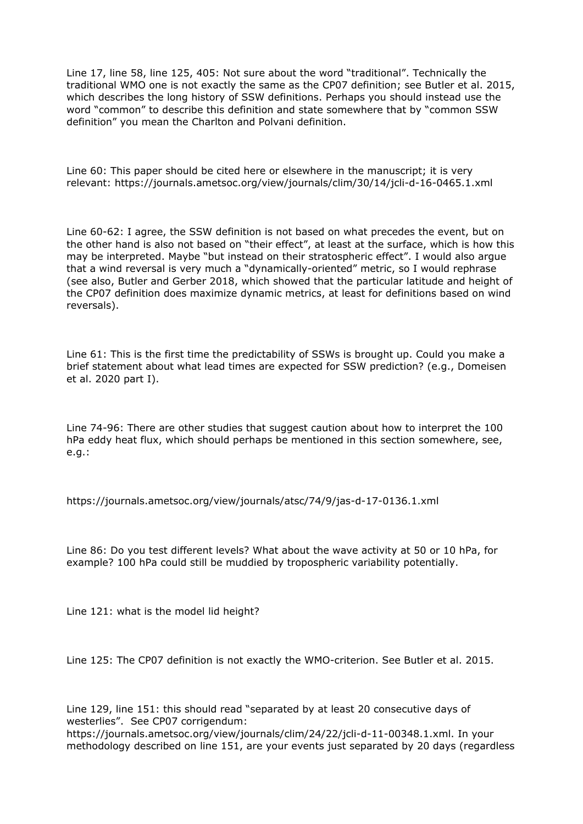Line 17, line 58, line 125, 405: Not sure about the word "traditional". Technically the traditional WMO one is not exactly the same as the CP07 definition; see Butler et al. 2015, which describes the long history of SSW definitions. Perhaps you should instead use the word "common" to describe this definition and state somewhere that by "common SSW definition" you mean the Charlton and Polvani definition.

Line 60: This paper should be cited here or elsewhere in the manuscript; it is very relevant: https://journals.ametsoc.org/view/journals/clim/30/14/jcli-d-16-0465.1.xml

Line 60-62: I agree, the SSW definition is not based on what precedes the event, but on the other hand is also not based on "their effect", at least at the surface, which is how this may be interpreted. Maybe "but instead on their stratospheric effect". I would also argue that a wind reversal is very much a "dynamically-oriented" metric, so I would rephrase (see also, Butler and Gerber 2018, which showed that the particular latitude and height of the CP07 definition does maximize dynamic metrics, at least for definitions based on wind reversals).

Line 61: This is the first time the predictability of SSWs is brought up. Could you make a brief statement about what lead times are expected for SSW prediction? (e.g., Domeisen et al. 2020 part I).

Line 74-96: There are other studies that suggest caution about how to interpret the 100 hPa eddy heat flux, which should perhaps be mentioned in this section somewhere, see, e.g.:

https://journals.ametsoc.org/view/journals/atsc/74/9/jas-d-17-0136.1.xml

Line 86: Do you test different levels? What about the wave activity at 50 or 10 hPa, for example? 100 hPa could still be muddied by tropospheric variability potentially.

Line 121: what is the model lid height?

Line 125: The CP07 definition is not exactly the WMO-criterion. See Butler et al. 2015.

Line 129, line 151: this should read "separated by at least 20 consecutive days of westerlies". See CP07 corrigendum:

https://journals.ametsoc.org/view/journals/clim/24/22/jcli-d-11-00348.1.xml. In your methodology described on line 151, are your events just separated by 20 days (regardless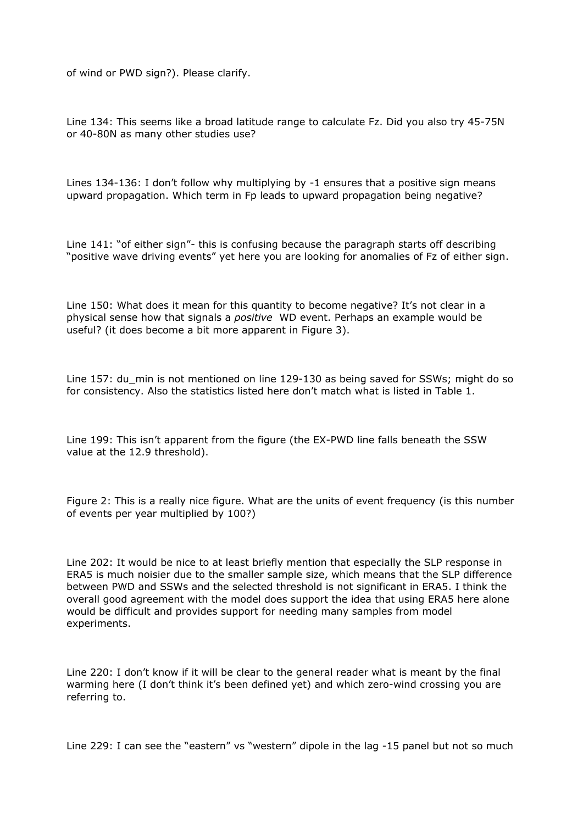of wind or PWD sign?). Please clarify.

Line 134: This seems like a broad latitude range to calculate Fz. Did you also try 45-75N or 40-80N as many other studies use?

Lines 134-136: I don't follow why multiplying by -1 ensures that a positive sign means upward propagation. Which term in Fp leads to upward propagation being negative?

Line 141: "of either sign"- this is confusing because the paragraph starts off describing "positive wave driving events" yet here you are looking for anomalies of Fz of either sign.

Line 150: What does it mean for this quantity to become negative? It's not clear in a physical sense how that signals a *positive* WD event. Perhaps an example would be useful? (it does become a bit more apparent in Figure 3).

Line 157: du\_min is not mentioned on line 129-130 as being saved for SSWs; might do so for consistency. Also the statistics listed here don't match what is listed in Table 1.

Line 199: This isn't apparent from the figure (the EX-PWD line falls beneath the SSW value at the 12.9 threshold).

Figure 2: This is a really nice figure. What are the units of event frequency (is this number of events per year multiplied by 100?)

Line 202: It would be nice to at least briefly mention that especially the SLP response in ERA5 is much noisier due to the smaller sample size, which means that the SLP difference between PWD and SSWs and the selected threshold is not significant in ERA5. I think the overall good agreement with the model does support the idea that using ERA5 here alone would be difficult and provides support for needing many samples from model experiments.

Line 220: I don't know if it will be clear to the general reader what is meant by the final warming here (I don't think it's been defined yet) and which zero-wind crossing you are referring to.

Line 229: I can see the "eastern" vs "western" dipole in the lag -15 panel but not so much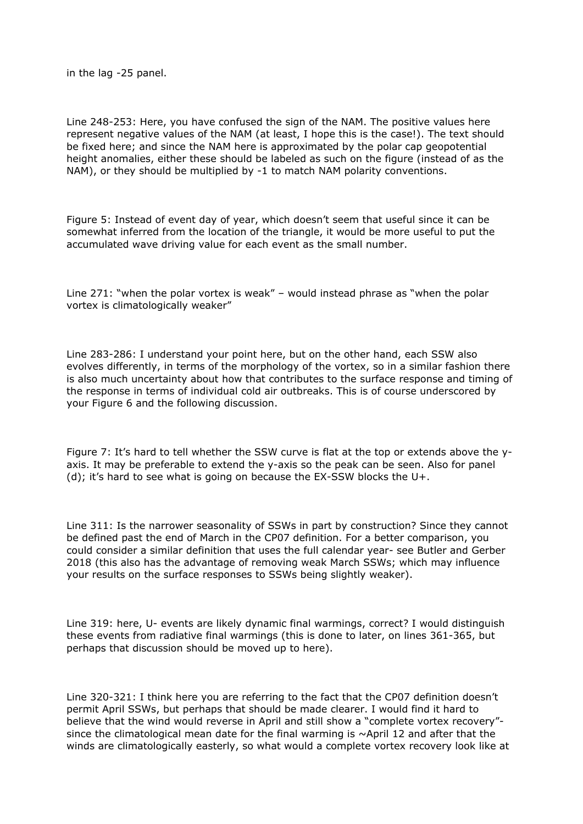in the lag -25 panel.

Line 248-253: Here, you have confused the sign of the NAM. The positive values here represent negative values of the NAM (at least, I hope this is the case!). The text should be fixed here; and since the NAM here is approximated by the polar cap geopotential height anomalies, either these should be labeled as such on the figure (instead of as the NAM), or they should be multiplied by -1 to match NAM polarity conventions.

Figure 5: Instead of event day of year, which doesn't seem that useful since it can be somewhat inferred from the location of the triangle, it would be more useful to put the accumulated wave driving value for each event as the small number.

Line 271: "when the polar vortex is weak" – would instead phrase as "when the polar vortex is climatologically weaker"

Line 283-286: I understand your point here, but on the other hand, each SSW also evolves differently, in terms of the morphology of the vortex, so in a similar fashion there is also much uncertainty about how that contributes to the surface response and timing of the response in terms of individual cold air outbreaks. This is of course underscored by your Figure 6 and the following discussion.

Figure 7: It's hard to tell whether the SSW curve is flat at the top or extends above the yaxis. It may be preferable to extend the y-axis so the peak can be seen. Also for panel (d); it's hard to see what is going on because the EX-SSW blocks the  $U^+$ .

Line 311: Is the narrower seasonality of SSWs in part by construction? Since they cannot be defined past the end of March in the CP07 definition. For a better comparison, you could consider a similar definition that uses the full calendar year- see Butler and Gerber 2018 (this also has the advantage of removing weak March SSWs; which may influence your results on the surface responses to SSWs being slightly weaker).

Line 319: here, U- events are likely dynamic final warmings, correct? I would distinguish these events from radiative final warmings (this is done to later, on lines 361-365, but perhaps that discussion should be moved up to here).

Line 320-321: I think here you are referring to the fact that the CP07 definition doesn't permit April SSWs, but perhaps that should be made clearer. I would find it hard to believe that the wind would reverse in April and still show a "complete vortex recovery" since the climatological mean date for the final warming is  $\sim$ April 12 and after that the winds are climatologically easterly, so what would a complete vortex recovery look like at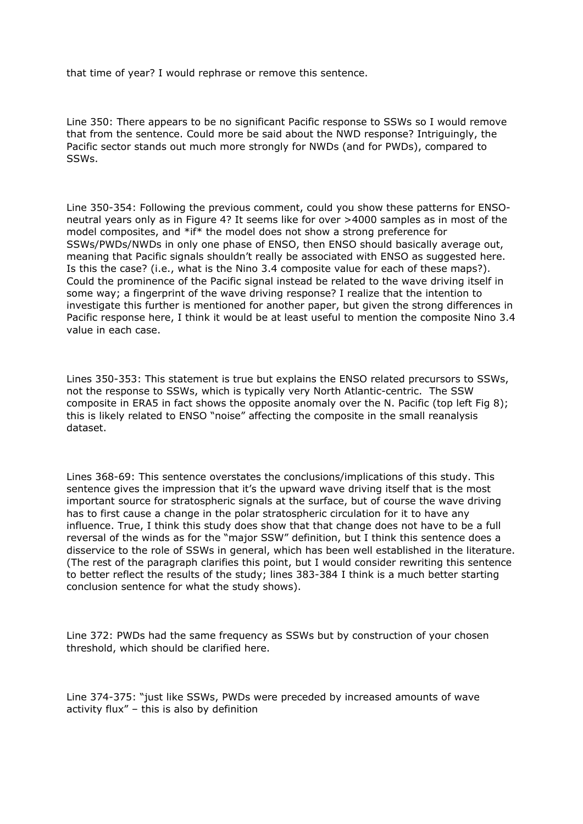that time of year? I would rephrase or remove this sentence.

Line 350: There appears to be no significant Pacific response to SSWs so I would remove that from the sentence. Could more be said about the NWD response? Intriguingly, the Pacific sector stands out much more strongly for NWDs (and for PWDs), compared to SSWs.

Line 350-354: Following the previous comment, could you show these patterns for ENSOneutral years only as in Figure 4? It seems like for over >4000 samples as in most of the model composites, and \*if\* the model does not show a strong preference for SSWs/PWDs/NWDs in only one phase of ENSO, then ENSO should basically average out, meaning that Pacific signals shouldn't really be associated with ENSO as suggested here. Is this the case? (i.e., what is the Nino 3.4 composite value for each of these maps?). Could the prominence of the Pacific signal instead be related to the wave driving itself in some way; a fingerprint of the wave driving response? I realize that the intention to investigate this further is mentioned for another paper, but given the strong differences in Pacific response here, I think it would be at least useful to mention the composite Nino 3.4 value in each case.

Lines 350-353: This statement is true but explains the ENSO related precursors to SSWs, not the response to SSWs, which is typically very North Atlantic-centric. The SSW composite in ERA5 in fact shows the opposite anomaly over the N. Pacific (top left Fig 8); this is likely related to ENSO "noise" affecting the composite in the small reanalysis dataset.

Lines 368-69: This sentence overstates the conclusions/implications of this study. This sentence gives the impression that it's the upward wave driving itself that is the most important source for stratospheric signals at the surface, but of course the wave driving has to first cause a change in the polar stratospheric circulation for it to have any influence. True, I think this study does show that that change does not have to be a full reversal of the winds as for the "major SSW" definition, but I think this sentence does a disservice to the role of SSWs in general, which has been well established in the literature. (The rest of the paragraph clarifies this point, but I would consider rewriting this sentence to better reflect the results of the study; lines 383-384 I think is a much better starting conclusion sentence for what the study shows).

Line 372: PWDs had the same frequency as SSWs but by construction of your chosen threshold, which should be clarified here.

Line 374-375: "just like SSWs, PWDs were preceded by increased amounts of wave activity flux" – this is also by definition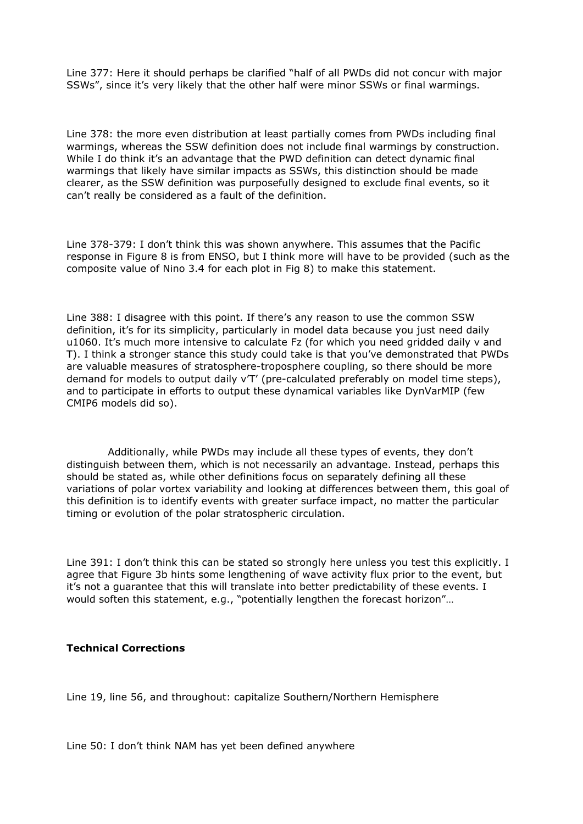Line 377: Here it should perhaps be clarified "half of all PWDs did not concur with major SSWs", since it's very likely that the other half were minor SSWs or final warmings.

Line 378: the more even distribution at least partially comes from PWDs including final warmings, whereas the SSW definition does not include final warmings by construction. While I do think it's an advantage that the PWD definition can detect dynamic final warmings that likely have similar impacts as SSWs, this distinction should be made clearer, as the SSW definition was purposefully designed to exclude final events, so it can't really be considered as a fault of the definition.

Line 378-379: I don't think this was shown anywhere. This assumes that the Pacific response in Figure 8 is from ENSO, but I think more will have to be provided (such as the composite value of Nino 3.4 for each plot in Fig 8) to make this statement.

Line 388: I disagree with this point. If there's any reason to use the common SSW definition, it's for its simplicity, particularly in model data because you just need daily u1060. It's much more intensive to calculate Fz (for which you need gridded daily v and T). I think a stronger stance this study could take is that you've demonstrated that PWDs are valuable measures of stratosphere-troposphere coupling, so there should be more demand for models to output daily v'T' (pre-calculated preferably on model time steps), and to participate in efforts to output these dynamical variables like DynVarMIP (few CMIP6 models did so).

 Additionally, while PWDs may include all these types of events, they don't distinguish between them, which is not necessarily an advantage. Instead, perhaps this should be stated as, while other definitions focus on separately defining all these variations of polar vortex variability and looking at differences between them, this goal of this definition is to identify events with greater surface impact, no matter the particular timing or evolution of the polar stratospheric circulation.

Line 391: I don't think this can be stated so strongly here unless you test this explicitly. I agree that Figure 3b hints some lengthening of wave activity flux prior to the event, but it's not a guarantee that this will translate into better predictability of these events. I would soften this statement, e.g., "potentially lengthen the forecast horizon"…

## **Technical Corrections**

Line 19, line 56, and throughout: capitalize Southern/Northern Hemisphere

Line 50: I don't think NAM has yet been defined anywhere